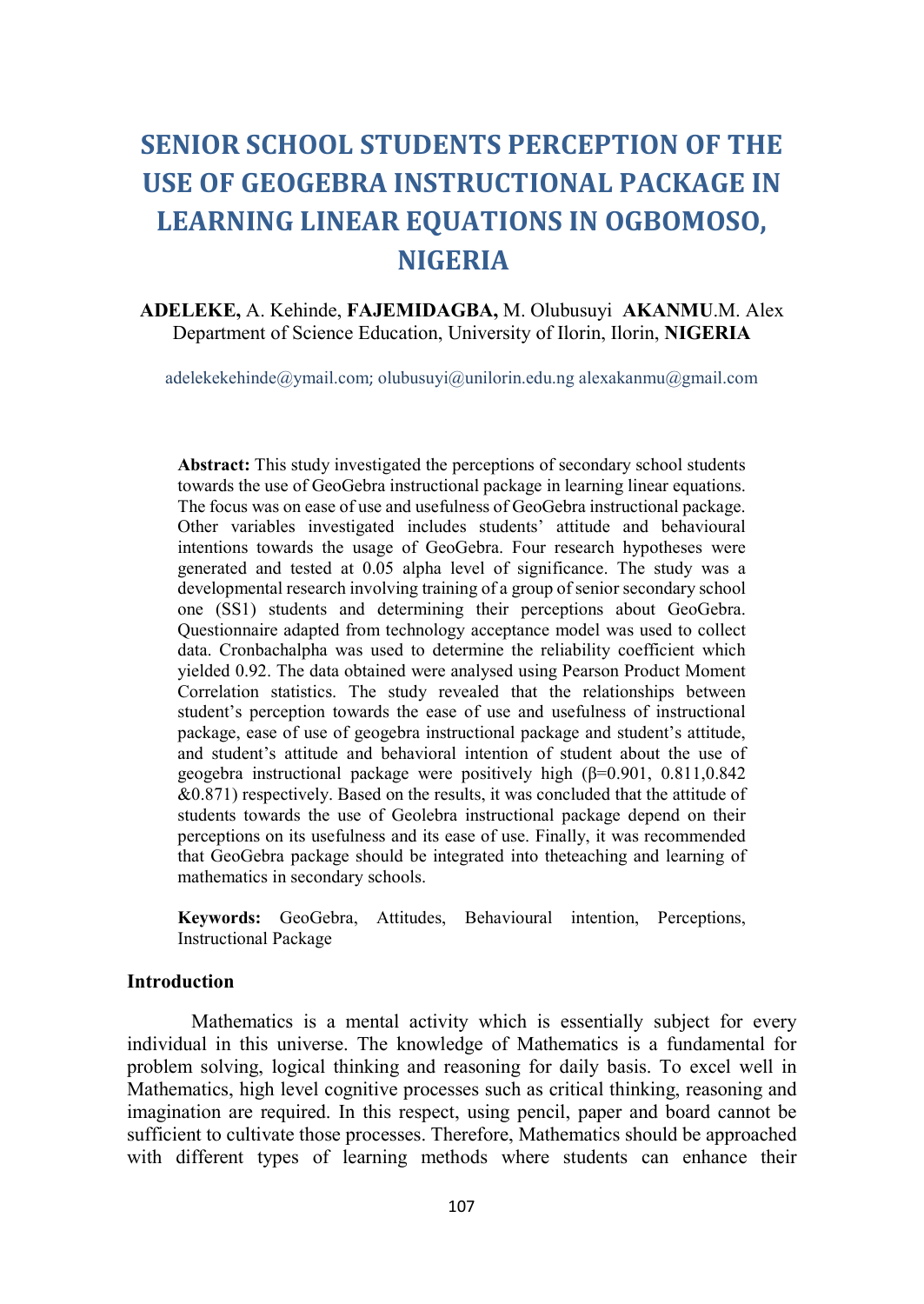# SENIOR SCHOOL STUDENTS PERCEPTION OF THE USE OF GEOGEBRA INSTRUCTIONAL PACKAGE IN LEARNING LINEAR EQUATIONS IN OGBOMOSO, NIGERIA

### ADELEKE, A. Kehinde, FAJEMIDAGBA, M. Olubusuyi AKANMU.M. Alex Department of Science Education, University of Ilorin, Ilorin, NIGERIA

adelekekehinde@ymail.com; olubusuyi@unilorin.edu.ng alexakanmu@gmail.com

Abstract: This study investigated the perceptions of secondary school students towards the use of GeoGebra instructional package in learning linear equations. The focus was on ease of use and usefulness of GeoGebra instructional package. Other variables investigated includes students' attitude and behavioural intentions towards the usage of GeoGebra. Four research hypotheses were generated and tested at 0.05 alpha level of significance. The study was a developmental research involving training of a group of senior secondary school one (SS1) students and determining their perceptions about GeoGebra. Questionnaire adapted from technology acceptance model was used to collect data. Cronbachalpha was used to determine the reliability coefficient which yielded 0.92. The data obtained were analysed using Pearson Product Moment Correlation statistics. The study revealed that the relationships between student's perception towards the ease of use and usefulness of instructional package, ease of use of geogebra instructional package and student's attitude, and student's attitude and behavioral intention of student about the use of geogebra instructional package were positively high (β=0.901, 0.811,0.842 &0.871) respectively. Based on the results, it was concluded that the attitude of students towards the use of Geolebra instructional package depend on their perceptions on its usefulness and its ease of use. Finally, it was recommended that GeoGebra package should be integrated into theteaching and learning of mathematics in secondary schools.

Keywords: GeoGebra, Attitudes, Behavioural intention, Perceptions, Instructional Package

#### Introduction

Mathematics is a mental activity which is essentially subject for every individual in this universe. The knowledge of Mathematics is a fundamental for problem solving, logical thinking and reasoning for daily basis. To excel well in Mathematics, high level cognitive processes such as critical thinking, reasoning and imagination are required. In this respect, using pencil, paper and board cannot be sufficient to cultivate those processes. Therefore, Mathematics should be approached with different types of learning methods where students can enhance their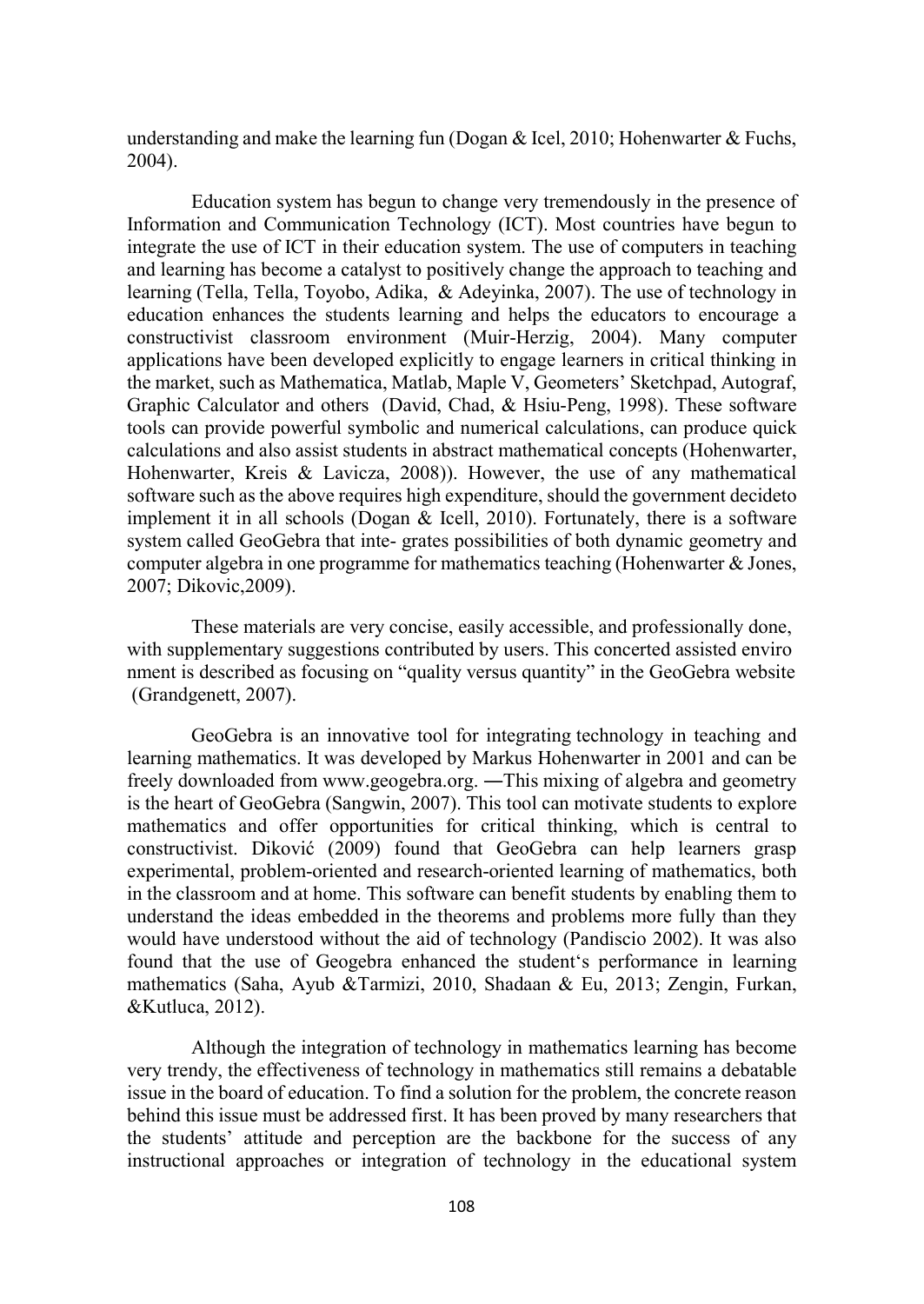understanding and make the learning fun (Dogan & Icel, 2010; Hohenwarter & Fuchs, 2004).

Education system has begun to change very tremendously in the presence of Information and Communication Technology (ICT). Most countries have begun to integrate the use of ICT in their education system. The use of computers in teaching and learning has become a catalyst to positively change the approach to teaching and learning (Tella, Tella, Toyobo, Adika, & Adeyinka, 2007). The use of technology in education enhances the students learning and helps the educators to encourage a constructivist classroom environment (Muir-Herzig, 2004). Many computer applications have been developed explicitly to engage learners in critical thinking in the market, such as Mathematica, Matlab, Maple V, Geometers' Sketchpad, Autograf, Graphic Calculator and others (David, Chad, & Hsiu-Peng, 1998). These software tools can provide powerful symbolic and numerical calculations, can produce quick calculations and also assist students in abstract mathematical concepts (Hohenwarter, Hohenwarter, Kreis & Lavicza, 2008)). However, the use of any mathematical software such as the above requires high expenditure, should the government decideto implement it in all schools (Dogan & Icell, 2010). Fortunately, there is a software system called GeoGebra that inte- grates possibilities of both dynamic geometry and computer algebra in one programme for mathematics teaching (Hohenwarter & Jones, 2007; Dikovic,2009).

These materials are very concise, easily accessible, and professionally done, with supplementary suggestions contributed by users. This concerted assisted enviro nment is described as focusing on "quality versus quantity" in the GeoGebra website (Grandgenett, 2007).

GeoGebra is an innovative tool for integrating technology in teaching and learning mathematics. It was developed by Markus Hohenwarter in 2001 and can be freely downloaded from www.geogebra.org. ―This mixing of algebra and geometry is the heart of GeoGebra (Sangwin, 2007). This tool can motivate students to explore mathematics and offer opportunities for critical thinking, which is central to constructivist. Diković (2009) found that GeoGebra can help learners grasp experimental, problem-oriented and research-oriented learning of mathematics, both in the classroom and at home. This software can benefit students by enabling them to understand the ideas embedded in the theorems and problems more fully than they would have understood without the aid of technology (Pandiscio 2002). It was also found that the use of Geogebra enhanced the student's performance in learning mathematics (Saha, Ayub &Tarmizi, 2010, Shadaan & Eu, 2013; Zengin, Furkan, &Kutluca, 2012).

Although the integration of technology in mathematics learning has become very trendy, the effectiveness of technology in mathematics still remains a debatable issue in the board of education. To find a solution for the problem, the concrete reason behind this issue must be addressed first. It has been proved by many researchers that the students' attitude and perception are the backbone for the success of any instructional approaches or integration of technology in the educational system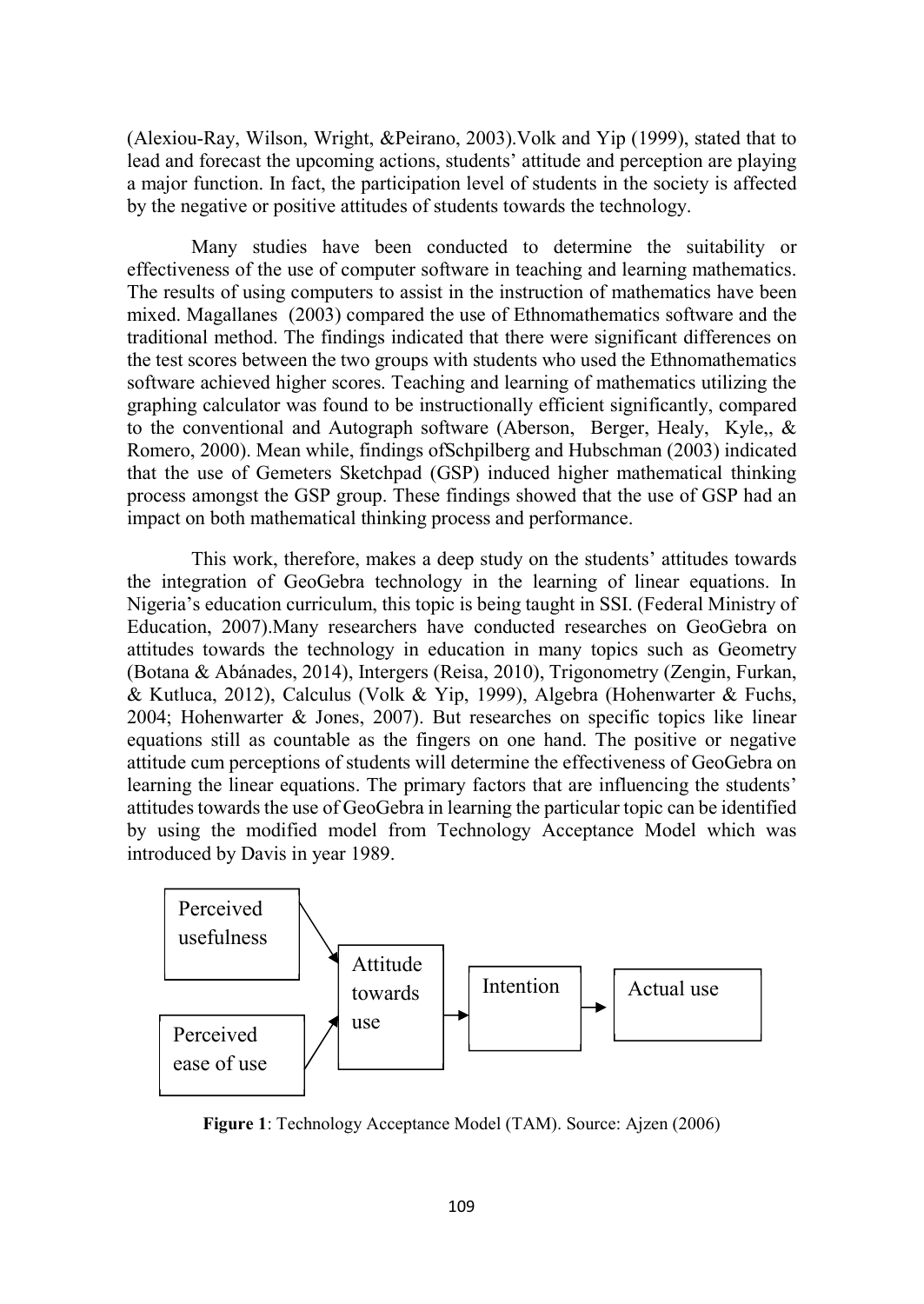(Alexiou-Ray, Wilson, Wright, &Peirano, 2003).Volk and Yip (1999), stated that to lead and forecast the upcoming actions, students' attitude and perception are playing a major function. In fact, the participation level of students in the society is affected by the negative or positive attitudes of students towards the technology.

Many studies have been conducted to determine the suitability or effectiveness of the use of computer software in teaching and learning mathematics. The results of using computers to assist in the instruction of mathematics have been mixed. Magallanes (2003) compared the use of Ethnomathematics software and the traditional method. The findings indicated that there were significant differences on the test scores between the two groups with students who used the Ethnomathematics software achieved higher scores. Teaching and learning of mathematics utilizing the graphing calculator was found to be instructionally efficient significantly, compared to the conventional and Autograph software (Aberson, Berger, Healy, Kyle,, & Romero, 2000). Mean while, findings ofSchpilberg and Hubschman (2003) indicated that the use of Gemeters Sketchpad (GSP) induced higher mathematical thinking process amongst the GSP group. These findings showed that the use of GSP had an impact on both mathematical thinking process and performance.

This work, therefore, makes a deep study on the students' attitudes towards the integration of GeoGebra technology in the learning of linear equations. In Nigeria's education curriculum, this topic is being taught in SSI. (Federal Ministry of Education, 2007).Many researchers have conducted researches on GeoGebra on attitudes towards the technology in education in many topics such as Geometry (Botana & Abánades, 2014), Intergers (Reisa, 2010), Trigonometry (Zengin, Furkan, & Kutluca, 2012), Calculus (Volk & Yip, 1999), Algebra (Hohenwarter & Fuchs, 2004; Hohenwarter & Jones, 2007). But researches on specific topics like linear equations still as countable as the fingers on one hand. The positive or negative attitude cum perceptions of students will determine the effectiveness of GeoGebra on learning the linear equations. The primary factors that are influencing the students' attitudes towards the use of GeoGebra in learning the particular topic can be identified by using the modified model from Technology Acceptance Model which was introduced by Davis in year 1989.



Figure 1: Technology Acceptance Model (TAM). Source: Ajzen (2006)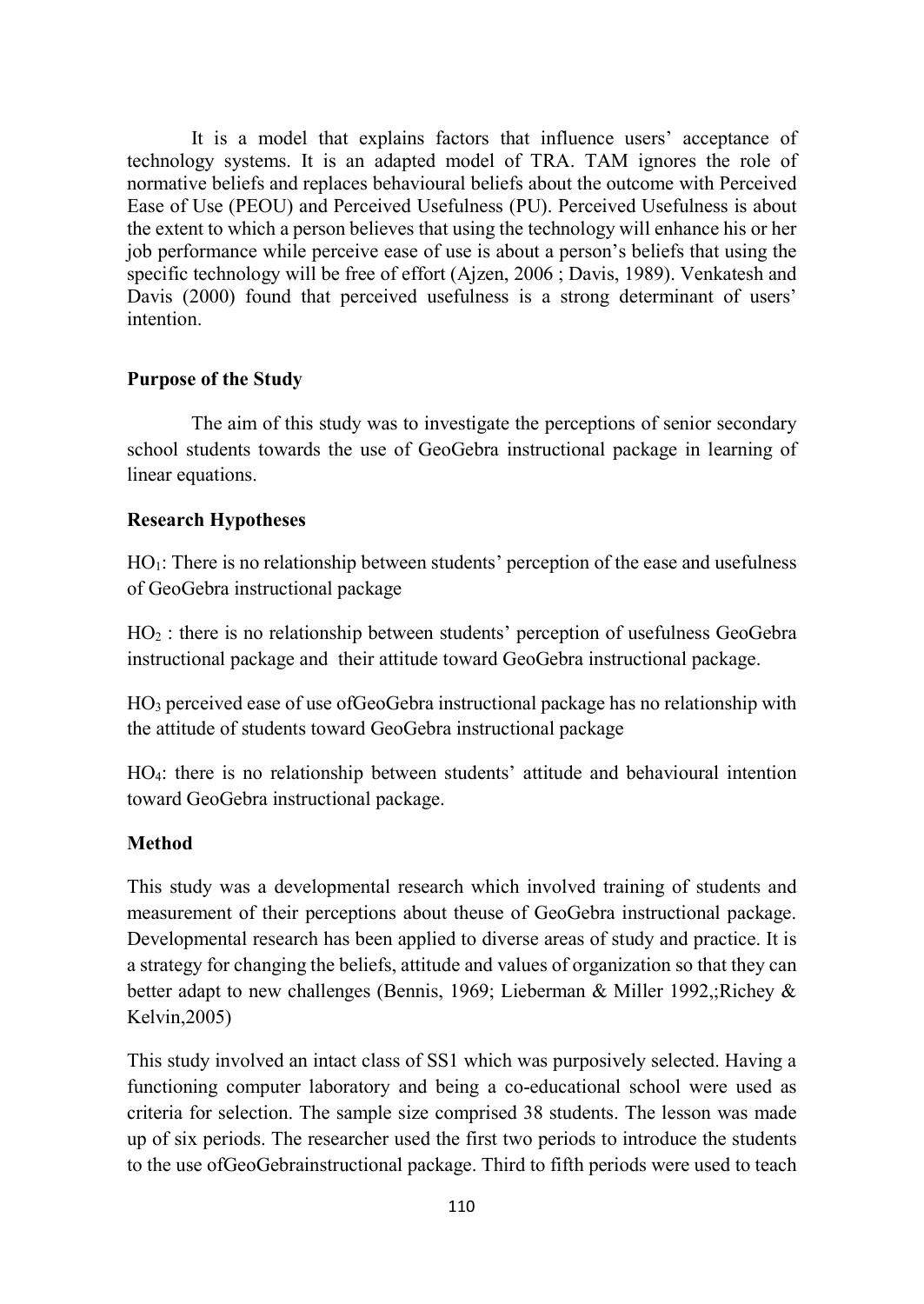It is a model that explains factors that influence users' acceptance of technology systems. It is an adapted model of TRA. TAM ignores the role of normative beliefs and replaces behavioural beliefs about the outcome with Perceived Ease of Use (PEOU) and Perceived Usefulness (PU). Perceived Usefulness is about the extent to which a person believes that using the technology will enhance his or her job performance while perceive ease of use is about a person's beliefs that using the specific technology will be free of effort (Ajzen, 2006 ; Davis, 1989). Venkatesh and Davis (2000) found that perceived usefulness is a strong determinant of users' intention.

### Purpose of the Study

The aim of this study was to investigate the perceptions of senior secondary school students towards the use of GeoGebra instructional package in learning of linear equations.

## Research Hypotheses

HO<sub>1</sub>: There is no relationship between students' perception of the ease and usefulness of GeoGebra instructional package

HO2 : there is no relationship between students' perception of usefulness GeoGebra instructional package and their attitude toward GeoGebra instructional package.

HO3 perceived ease of use ofGeoGebra instructional package has no relationship with the attitude of students toward GeoGebra instructional package

HO4: there is no relationship between students' attitude and behavioural intention toward GeoGebra instructional package.

# Method

This study was a developmental research which involved training of students and measurement of their perceptions about theuse of GeoGebra instructional package. Developmental research has been applied to diverse areas of study and practice. It is a strategy for changing the beliefs, attitude and values of organization so that they can better adapt to new challenges (Bennis, 1969; Lieberman & Miller 1992,;Richey & Kelvin,2005)

This study involved an intact class of SS1 which was purposively selected. Having a functioning computer laboratory and being a co-educational school were used as criteria for selection. The sample size comprised 38 students. The lesson was made up of six periods. The researcher used the first two periods to introduce the students to the use ofGeoGebrainstructional package. Third to fifth periods were used to teach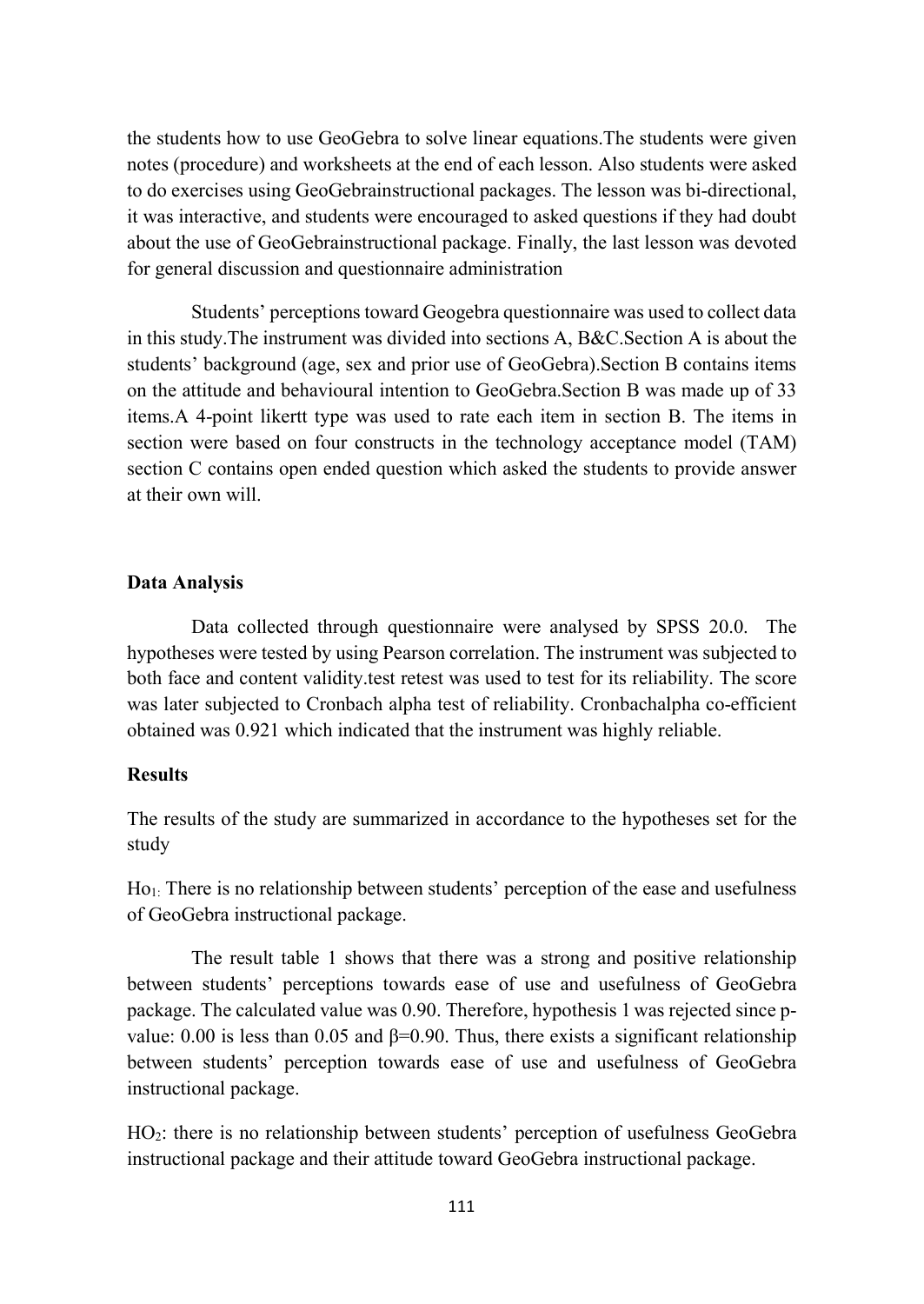the students how to use GeoGebra to solve linear equations.The students were given notes (procedure) and worksheets at the end of each lesson. Also students were asked to do exercises using GeoGebrainstructional packages. The lesson was bi-directional, it was interactive, and students were encouraged to asked questions if they had doubt about the use of GeoGebrainstructional package. Finally, the last lesson was devoted for general discussion and questionnaire administration

Students' perceptions toward Geogebra questionnaire was used to collect data in this study.The instrument was divided into sections A, B&C.Section A is about the students' background (age, sex and prior use of GeoGebra).Section B contains items on the attitude and behavioural intention to GeoGebra.Section B was made up of 33 items.A 4-point likertt type was used to rate each item in section B. The items in section were based on four constructs in the technology acceptance model (TAM) section C contains open ended question which asked the students to provide answer at their own will.

#### Data Analysis

Data collected through questionnaire were analysed by SPSS 20.0. The hypotheses were tested by using Pearson correlation. The instrument was subjected to both face and content validity.test retest was used to test for its reliability. The score was later subjected to Cronbach alpha test of reliability. Cronbachalpha co-efficient obtained was 0.921 which indicated that the instrument was highly reliable.

#### Results

The results of the study are summarized in accordance to the hypotheses set for the study

Ho<sub>1:</sub> There is no relationship between students' perception of the ease and usefulness of GeoGebra instructional package.

The result table 1 shows that there was a strong and positive relationship between students' perceptions towards ease of use and usefulness of GeoGebra package. The calculated value was 0.90. Therefore, hypothesis 1 was rejected since pvalue: 0.00 is less than 0.05 and  $β=0.90$ . Thus, there exists a significant relationship between students' perception towards ease of use and usefulness of GeoGebra instructional package.

HO2: there is no relationship between students' perception of usefulness GeoGebra instructional package and their attitude toward GeoGebra instructional package.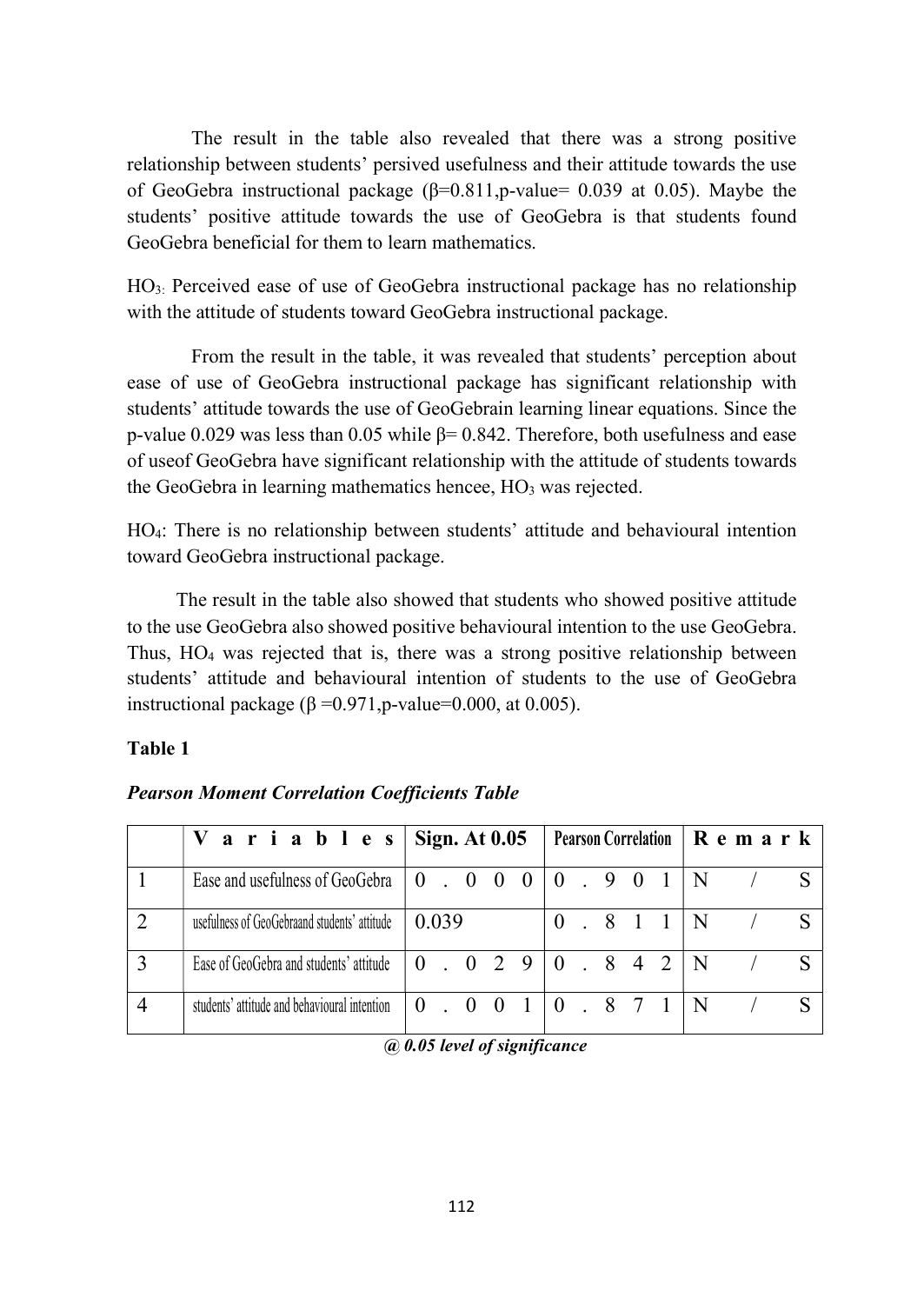The result in the table also revealed that there was a strong positive relationship between students' persived usefulness and their attitude towards the use of GeoGebra instructional package  $(\beta=0.811,p$ -value= 0.039 at 0.05). Maybe the students' positive attitude towards the use of GeoGebra is that students found GeoGebra beneficial for them to learn mathematics.

HO3: Perceived ease of use of GeoGebra instructional package has no relationship with the attitude of students toward GeoGebra instructional package.

From the result in the table, it was revealed that students' perception about ease of use of GeoGebra instructional package has significant relationship with students' attitude towards the use of GeoGebrain learning linear equations. Since the p-value 0.029 was less than 0.05 while  $\beta$ = 0.842. Therefore, both usefulness and ease of useof GeoGebra have significant relationship with the attitude of students towards the GeoGebra in learning mathematics hencee, HO<sub>3</sub> was rejected.

HO4: There is no relationship between students' attitude and behavioural intention toward GeoGebra instructional package.

 The result in the table also showed that students who showed positive attitude to the use GeoGebra also showed positive behavioural intention to the use GeoGebra. Thus,  $HO_4$  was rejected that is, there was a strong positive relationship between students' attitude and behavioural intention of students to the use of GeoGebra instructional package ( $β = 0.971$ , p-value=0.000, at 0.005).

### Table 1

| V a r i a b l e s $\sin A t$ 0.05            |  |  |       |  |       | Pearson Correlation $\vert \mathbf{R} \vert \mathbf{e} \mathbf{m} \vert \mathbf{a} \mathbf{r} \vert \mathbf{k}$ |                                                   |  |  |  |       |   |  |   |
|----------------------------------------------|--|--|-------|--|-------|-----------------------------------------------------------------------------------------------------------------|---------------------------------------------------|--|--|--|-------|---|--|---|
| Ease and usefulness of GeoGebra              |  |  |       |  |       | $\begin{array}{cccccc} 0 & . & 0 & 0 & 0 \end{array}$                                                           | 0.901                                             |  |  |  |       |   |  |   |
| usefulness of GeoGebraand students' attitude |  |  | 0.039 |  |       |                                                                                                                 |                                                   |  |  |  | 0.811 | N |  |   |
| Ease of GeoGebra and students' attitude      |  |  |       |  |       | 0.02910.842                                                                                                     |                                                   |  |  |  |       | N |  |   |
| students' attitude and behavioural intention |  |  |       |  | 0.001 |                                                                                                                 | $\begin{bmatrix} 0 & . & 8 & 7 & 1 \end{bmatrix}$ |  |  |  |       |   |  | S |

# Pearson Moment Correlation Coefficients Table

@ 0.05 level of significance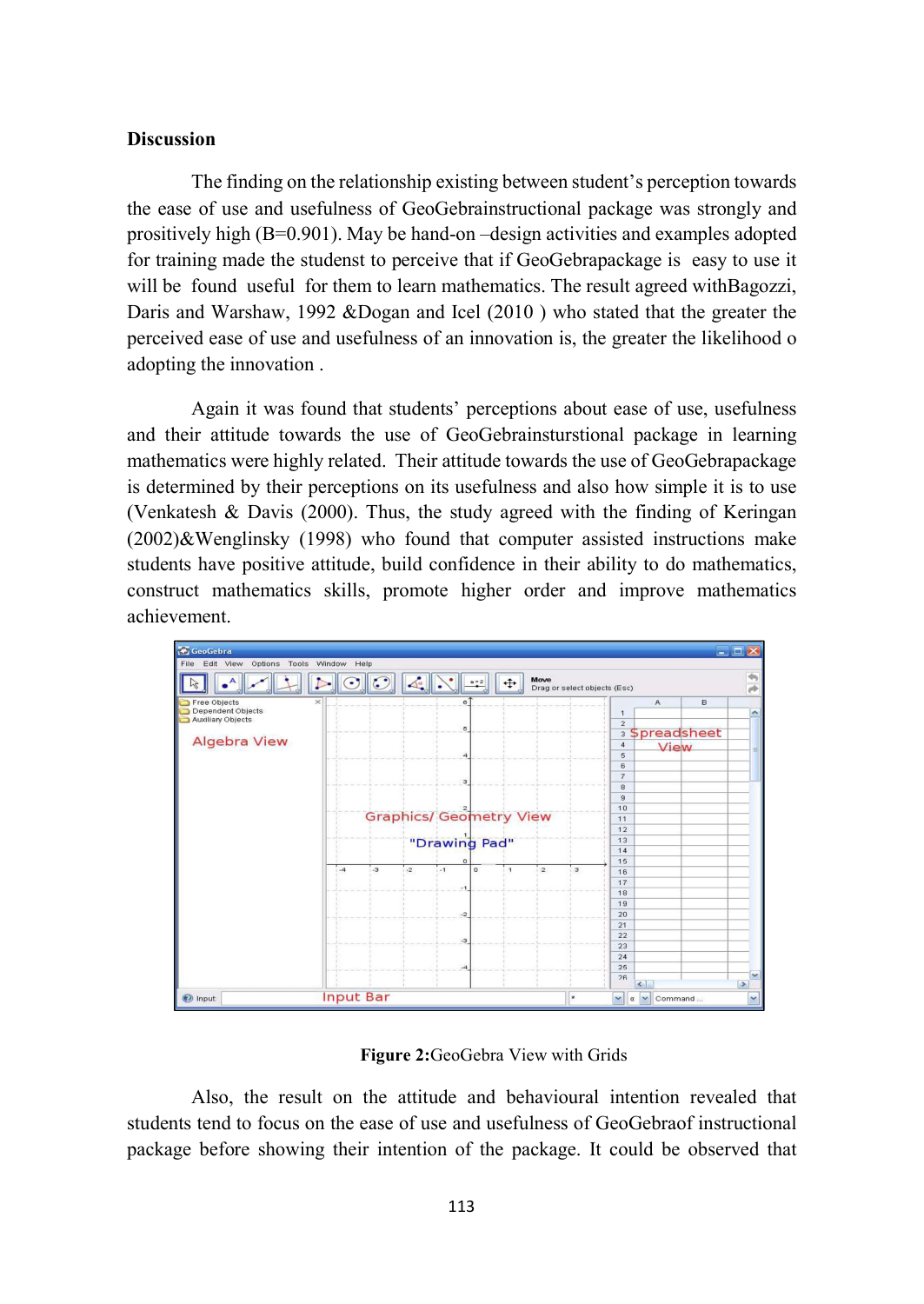#### **Discussion**

The finding on the relationship existing between student's perception towards the ease of use and usefulness of GeoGebrainstructional package was strongly and prositively high (B=0.901). May be hand-on –design activities and examples adopted for training made the studenst to perceive that if GeoGebrapackage is easy to use it will be found useful for them to learn mathematics. The result agreed withBagozzi, Daris and Warshaw, 1992 &Dogan and Icel (2010 ) who stated that the greater the perceived ease of use and usefulness of an innovation is, the greater the likelihood o adopting the innovation .

Again it was found that students' perceptions about ease of use, usefulness and their attitude towards the use of GeoGebrainsturstional package in learning mathematics were highly related. Their attitude towards the use of GeoGebrapackage is determined by their perceptions on its usefulness and also how simple it is to use (Venkatesh & Davis (2000). Thus, the study agreed with the finding of Keringan  $(2002)$ &Wenglinsky  $(1998)$  who found that computer assisted instructions make students have positive attitude, build confidence in their ability to do mathematics, construct mathematics skills, promote higher order and improve mathematics achievement.



Figure 2:GeoGebra View with Grids

Also, the result on the attitude and behavioural intention revealed that students tend to focus on the ease of use and usefulness of GeoGebraof instructional package before showing their intention of the package. It could be observed that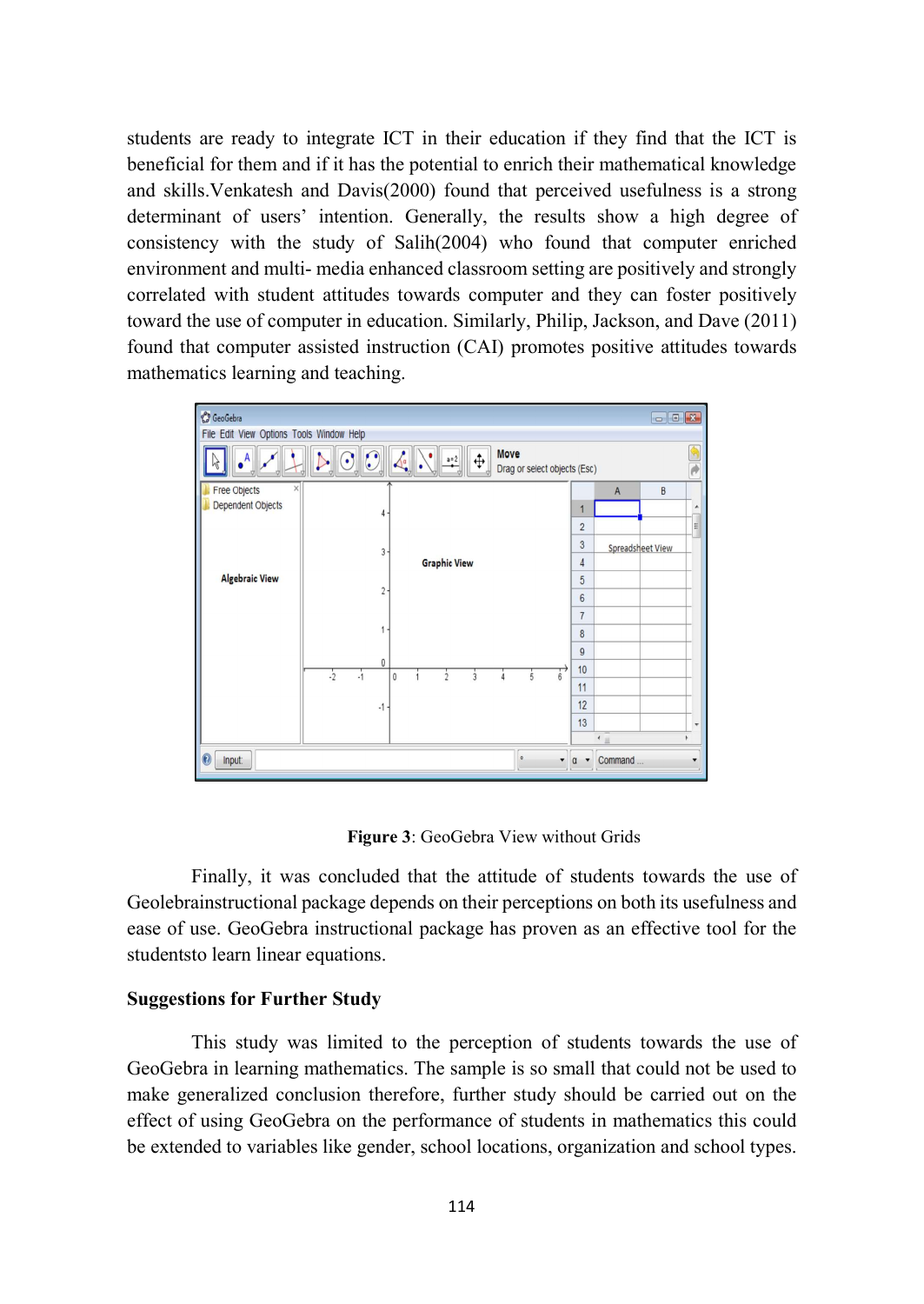students are ready to integrate ICT in their education if they find that the ICT is beneficial for them and if it has the potential to enrich their mathematical knowledge and skills.Venkatesh and Davis(2000) found that perceived usefulness is a strong determinant of users' intention. Generally, the results show a high degree of consistency with the study of Salih(2004) who found that computer enriched environment and multi- media enhanced classroom setting are positively and strongly correlated with student attitudes towards computer and they can foster positively toward the use of computer in education. Similarly, Philip, Jackson, and Dave (2011) found that computer assisted instruction (CAI) promotes positive attitudes towards mathematics learning and teaching.



Figure 3: GeoGebra View without Grids

Finally, it was concluded that the attitude of students towards the use of Geolebrainstructional package depends on their perceptions on both its usefulness and ease of use. GeoGebra instructional package has proven as an effective tool for the studentsto learn linear equations.

#### Suggestions for Further Study

This study was limited to the perception of students towards the use of GeoGebra in learning mathematics. The sample is so small that could not be used to make generalized conclusion therefore, further study should be carried out on the effect of using GeoGebra on the performance of students in mathematics this could be extended to variables like gender, school locations, organization and school types.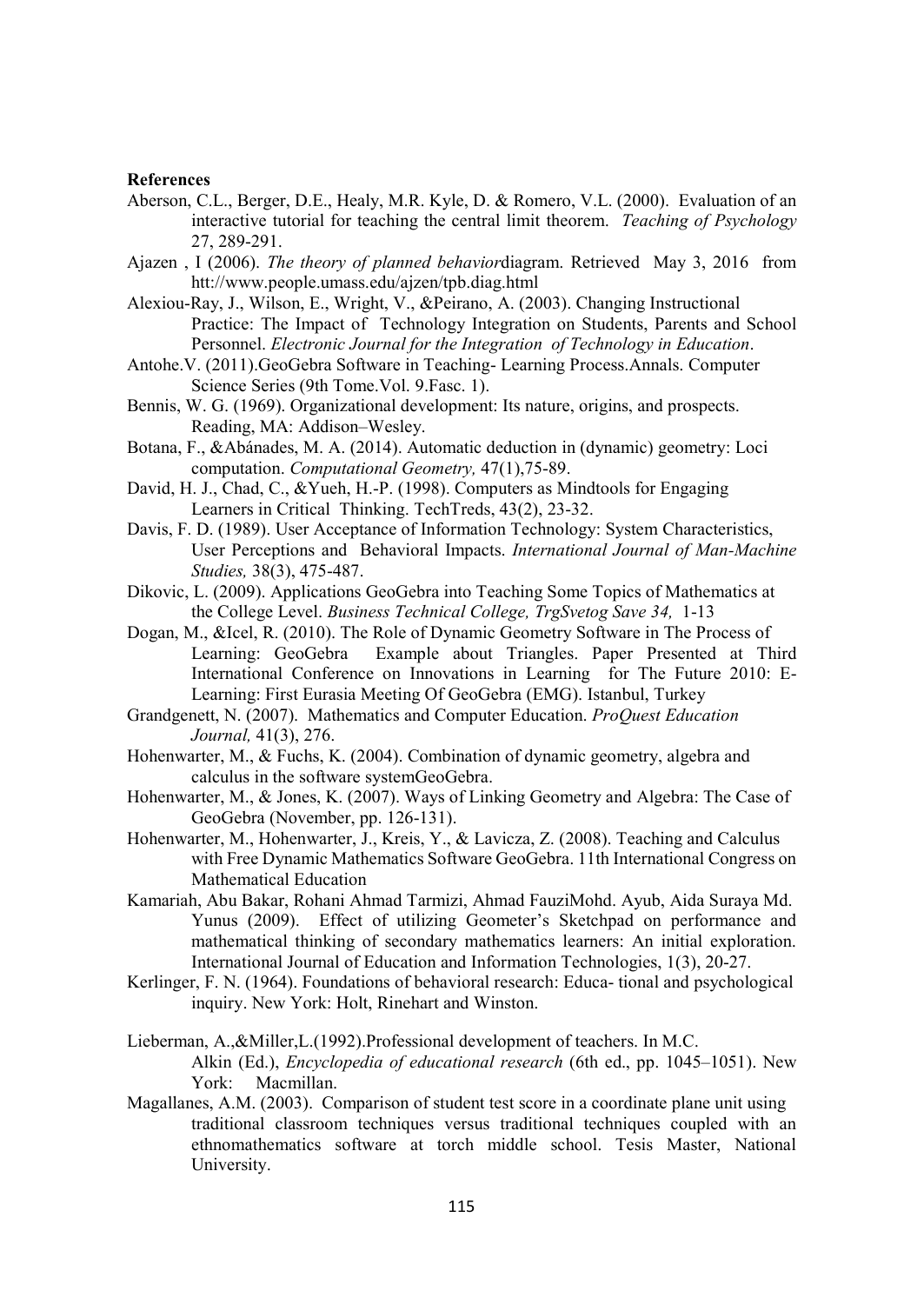#### References

- Aberson, C.L., Berger, D.E., Healy, M.R. Kyle, D. & Romero, V.L. (2000). Evaluation of an interactive tutorial for teaching the central limit theorem. Teaching of Psychology 27, 289-291.
- Ajazen , I (2006). The theory of planned behaviordiagram. Retrieved May 3, 2016 from htt://www.people.umass.edu/ajzen/tpb.diag.html
- Alexiou-Ray, J., Wilson, E., Wright, V., &Peirano, A. (2003). Changing Instructional Practice: The Impact of Technology Integration on Students, Parents and School Personnel. Electronic Journal for the Integration of Technology in Education.
- Antohe.V. (2011).GeoGebra Software in Teaching- Learning Process.Annals. Computer Science Series (9th Tome.Vol. 9.Fasc. 1).
- Bennis, W. G. (1969). Organizational development: Its nature, origins, and prospects. Reading, MA: Addison–Wesley.
- Botana, F., &Abánades, M. A. (2014). Automatic deduction in (dynamic) geometry: Loci computation. Computational Geometry, 47(1),75-89.
- David, H. J., Chad, C., &Yueh, H.-P. (1998). Computers as Mindtools for Engaging Learners in Critical Thinking. TechTreds, 43(2), 23-32.
- Davis, F. D. (1989). User Acceptance of Information Technology: System Characteristics, User Perceptions and Behavioral Impacts. International Journal of Man-Machine Studies, 38(3), 475-487.
- Dikovic, L. (2009). Applications GeoGebra into Teaching Some Topics of Mathematics at the College Level. Business Technical College, TrgSvetog Save 34, 1-13
- Dogan, M., &Icel, R. (2010). The Role of Dynamic Geometry Software in The Process of Learning: GeoGebra Example about Triangles. Paper Presented at Third International Conference on Innovations in Learning for The Future 2010: E-Learning: First Eurasia Meeting Of GeoGebra (EMG). Istanbul, Turkey
- Grandgenett, N. (2007). Mathematics and Computer Education. ProQuest Education Journal, 41(3), 276.
- Hohenwarter, M., & Fuchs, K. (2004). Combination of dynamic geometry, algebra and calculus in the software systemGeoGebra.
- Hohenwarter, M., & Jones, K. (2007). Ways of Linking Geometry and Algebra: The Case of GeoGebra (November, pp. 126-131).
- Hohenwarter, M., Hohenwarter, J., Kreis, Y., & Lavicza, Z. (2008). Teaching and Calculus with Free Dynamic Mathematics Software GeoGebra. 11th International Congress on Mathematical Education
- Kamariah, Abu Bakar, Rohani Ahmad Tarmizi, Ahmad FauziMohd. Ayub, Aida Suraya Md. Yunus (2009). Effect of utilizing Geometer's Sketchpad on performance and mathematical thinking of secondary mathematics learners: An initial exploration. International Journal of Education and Information Technologies, 1(3), 20-27.
- Kerlinger, F. N. (1964). Foundations of behavioral research: Educa- tional and psychological inquiry. New York: Holt, Rinehart and Winston.
- Lieberman, A.,&Miller,L.(1992).Professional development of teachers. In M.C. Alkin (Ed.), Encyclopedia of educational research (6th ed., pp. 1045–1051). New York: Macmillan.
- Magallanes, A.M. (2003). Comparison of student test score in a coordinate plane unit using traditional classroom techniques versus traditional techniques coupled with an ethnomathematics software at torch middle school. Tesis Master, National University.